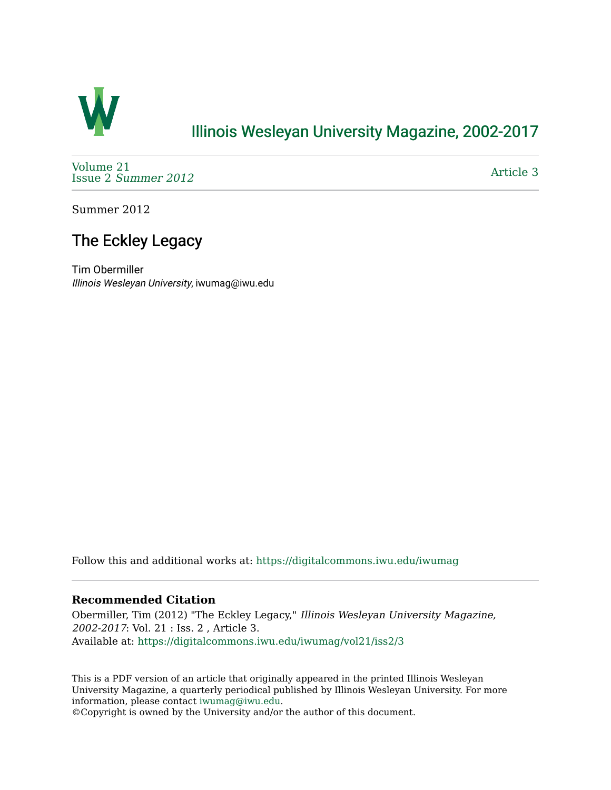

## [Illinois Wesleyan University Magazine, 2002-2017](https://digitalcommons.iwu.edu/iwumag)

[Volume 21](https://digitalcommons.iwu.edu/iwumag/vol21)  Issue 2 [Summer 2012](https://digitalcommons.iwu.edu/iwumag/vol21/iss2) 

[Article 3](https://digitalcommons.iwu.edu/iwumag/vol21/iss2/3) 

Summer 2012

## The Eckley Legacy

Tim Obermiller Illinois Wesleyan University, iwumag@iwu.edu

Follow this and additional works at: [https://digitalcommons.iwu.edu/iwumag](https://digitalcommons.iwu.edu/iwumag?utm_source=digitalcommons.iwu.edu%2Fiwumag%2Fvol21%2Fiss2%2F3&utm_medium=PDF&utm_campaign=PDFCoverPages) 

## **Recommended Citation**

Obermiller, Tim (2012) "The Eckley Legacy," Illinois Wesleyan University Magazine, 2002-2017: Vol. 21 : Iss. 2 , Article 3. Available at: [https://digitalcommons.iwu.edu/iwumag/vol21/iss2/3](https://digitalcommons.iwu.edu/iwumag/vol21/iss2/3?utm_source=digitalcommons.iwu.edu%2Fiwumag%2Fvol21%2Fiss2%2F3&utm_medium=PDF&utm_campaign=PDFCoverPages)

This is a PDF version of an article that originally appeared in the printed Illinois Wesleyan University Magazine, a quarterly periodical published by Illinois Wesleyan University. For more information, please contact [iwumag@iwu.edu](mailto:iwumag@iwu.edu).

©Copyright is owned by the University and/or the author of this document.